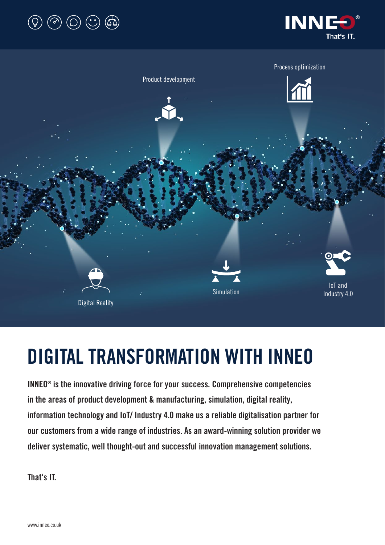





# DIGITAL TRANSFORMATION WITH INNEO

INNEO® is the innovative driving force for your success. Comprehensive competencies in the areas of product development & manufacturing, simulation, digital reality, information technology and IoT/ Industry 4.0 make us a reliable digitalisation partner for our customers from a wide range of industries. As an award-winning solution provider we deliver systematic, well thought-out and successful innovation management solutions.

That's IT.